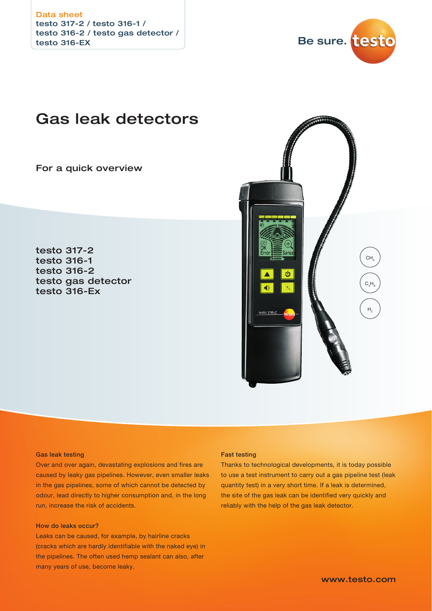testo 317-2 / testo 316-1 / testo 316-2 / testo gas detector / testo 316-EX Data sheet



# Gas leak detectors

For a quick overview

testo 317-2 testo 316-1 testo 316-2 testo gas detector testo 316-Ex



### Gas leak testing

Over and over again, devastating explosions and fires are caused by leaky gas pipelines. However, even smaller leaks in the gas pipelines, some of which cannot be detected by odour, lead directly to higher consumption and, in the long run, increase the risk of accidents.

### How do leaks occur?

Leaks can be caused, for example, by hairline cracks (cracks which are hardly identifiable with the naked eye) in the pipelines. The often used hemp sealant can also, after many years of use, become leaky.

### Fast testing

Thanks to technological developments, it is today possible to use a test instrument to carry out a gas pipeline test (leak quantity test) in a very short time. If a leak is determined, the site of the gas leak can be identified very quickly and reliably with the help of the gas leak detector.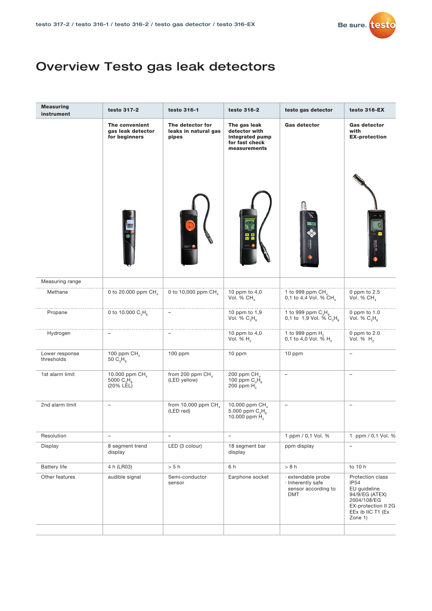

# Overview Testo gas leak detectors

| <b>Measuring</b><br>instrument | testo 317-2                                          | testo 316-1                                       | testo 316-2                                                                        | testo gas detector                                                         | testo 316-EX                                                                                                                            |
|--------------------------------|------------------------------------------------------|---------------------------------------------------|------------------------------------------------------------------------------------|----------------------------------------------------------------------------|-----------------------------------------------------------------------------------------------------------------------------------------|
|                                | The convenient<br>gas leak detector<br>for beginners | The detector for<br>leaks in natural gas<br>pipes | The gas leak<br>detector with<br>integrated pump<br>for fast check<br>measurements | <b>Gas detector</b>                                                        | Gas detector<br>with<br><b>EX-protection</b>                                                                                            |
|                                |                                                      |                                                   |                                                                                    |                                                                            |                                                                                                                                         |
| Measuring range                |                                                      |                                                   |                                                                                    |                                                                            |                                                                                                                                         |
| Methane                        | 0 to 20.000 ppm CH                                   | 0 to 10,000 ppm CH <sub>4</sub>                   | 10 ppm to 4,0<br>Vol. % $CH4$                                                      | 1 to 999 ppm CH<br>0,1 to 4,4 Vol. % CH <sub>4</sub>                       | 0 ppm to $2.5$<br>Vol. % CH                                                                                                             |
| Propane                        | 0 to 10.000 $C_1H_s$                                 |                                                   | 10 ppm to 1,9<br>Vol. % $C_3H_8$                                                   | 1 to 999 ppm $C_3H_8$<br>0,1 to 1,9 Vol. % $C_3H_8$                        | 0 ppm to $1.0$<br>Vol. % $C_3H_8$                                                                                                       |
| Hydrogen                       | L.                                                   |                                                   | 10 ppm to $4,0$<br>Vol. % $H2$                                                     | 1 to 999 ppm H <sub>2</sub><br>0,1 to 4,0 Vol. % $H_2$                     | 0 ppm to $2.0$<br>Vol. % $H_2$                                                                                                          |
| Lower response<br>thresholds   | 100 ppm CH<br>50 $C_3H_8$                            | 100 ppm                                           | 10 ppm                                                                             | 10 ppm                                                                     | $\overline{\phantom{a}}$                                                                                                                |
| 1st alarm limit                | 10.000 ppm CH<br>5000 $C_3H_8$<br>(20% LEL)          | from 200 ppm $CH4$<br>(LED yellow)                | 200 ppm CH<br>100 ppm $C_3H_8$<br>200 ppm $H_2$                                    | $\overline{\phantom{a}}$                                                   | $\overline{\phantom{a}}$                                                                                                                |
| 2nd alarm limit                | ۳                                                    | from 10.000 ppm $CH4$<br>(LED red)                | 10.000 ppm CH<br>5.000 ppm $C_3H_8$<br>10.000 ppm H <sub>2</sub>                   | $\overline{\phantom{a}}$                                                   | $\qquad \qquad -$                                                                                                                       |
| Resolution                     | $\overline{\phantom{0}}$                             | $\qquad \qquad -$                                 | -                                                                                  | 1 ppm / 0,1 Vol. %                                                         | 1 ppm / 0,1 Vol. %                                                                                                                      |
| Display                        | 8 segment trend<br>display                           | LED (3 colour)                                    | 18 segment bar<br>display                                                          | ppm display                                                                | $\overline{\phantom{a}}$                                                                                                                |
| <b>Battery life</b>            | 4 h (LR03)                                           | > 5 h                                             | 6 h                                                                                | > 8 h                                                                      | to 10 h                                                                                                                                 |
| Other features                 | audible signal                                       | Semi-conductor<br>sensor                          | Earphone socket                                                                    | extendable probe<br>· Inherently safe<br>sensor according to<br><b>DMT</b> | Protection class<br><b>IP54</b><br>EU quideline<br>94/9/EG (ATEX)<br>2004/108/EG<br>EX-protection II 2G<br>EEx ib IIC T1 (Ex<br>Zone 1) |
|                                |                                                      |                                                   |                                                                                    |                                                                            |                                                                                                                                         |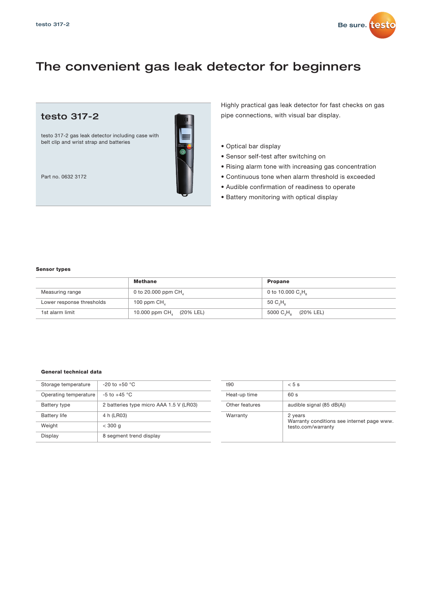

# The convenient gas leak detector for beginners

### testo 317-2

testo 317-2 gas leak detector including case with belt clip and wrist strap and batteries



Part no. 0632 3172

Highly practical gas leak detector for fast checks on gas pipe connections, with visual bar display.

- Optical bar display
- Sensor self-test after switching on
- Rising alarm tone with increasing gas concentration
- Continuous tone when alarm threshold is exceeded
- Audible confirmation of readiness to operate
- Battery monitoring with optical display

### Sensor types

|                           | Methane                              | <b>Propane</b>                               |
|---------------------------|--------------------------------------|----------------------------------------------|
| Measuring range           | 0 to 20.000 ppm $CH4$                | 0 to 10.000 $C_3H_a$                         |
| Lower response thresholds | 100 ppm $CH4$                        | 50 C H 。                                     |
| 1st alarm limit           | 10.000 ppm CH <sub>4</sub> (20% LEL) | 5000 C <sub>2</sub> H <sub>3</sub> (20% LEL) |

### General technical data

| Storage temperature   | $-20$ to $+50$ °C                       |
|-----------------------|-----------------------------------------|
| Operating temperature | $-5$ to $+45$ °C                        |
| Battery type          | 2 batteries type micro AAA 1.5 V (LR03) |
| <b>Battery life</b>   | 4 h (LR03)                              |
| Weight                | $<$ 300 g                               |
| Display               | 8 segment trend display                 |

| t90            | $< 5$ s                                                                     |
|----------------|-----------------------------------------------------------------------------|
| Heat-up time   | 60 s                                                                        |
| Other features | audible signal (85 dB(A))                                                   |
| Warranty       | 2 years<br>Warranty conditions see internet page www.<br>testo.com/warranty |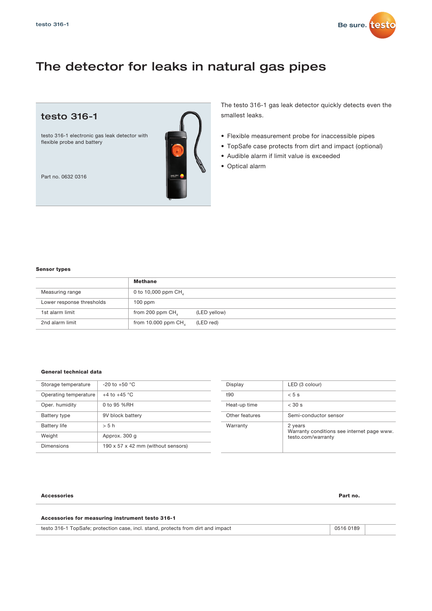

# The detector for leaks in natural gas pipes



The testo 316-1 gas leak detector quickly detects even the smallest leaks.

- Flexible measurement probe for inaccessible pipes
- TopSafe case protects from dirt and impact (optional)
- Audible alarm if limit value is exceeded
- Optical alarm

Sensor types

### **Methane** Measuring range 0 to 10,000 ppm CH<sub>4</sub> Lower response thresholds 100 ppm 1st alarm limit from 200 ppm  $CH<sub>4</sub>$  (LED yellow) 2nd alarm limit from 10.000 ppm  $CH<sub>4</sub>$  (LED red)

### General technical data

| Storage temperature   | $-20$ to $+50$ °C                  |
|-----------------------|------------------------------------|
| Operating temperature | $+4$ to $+45$ °C                   |
| Oper. humidity        | 0 to 95 %RH                        |
| Battery type          | 9V block battery                   |
| <b>Battery life</b>   | > 5 h                              |
| Weight                | Approx. 300 q                      |
| Dimensions            | 190 x 57 x 42 mm (without sensors) |

| Display        | LED (3 colour)                                                              |
|----------------|-----------------------------------------------------------------------------|
| t90            | $< 5$ s                                                                     |
| Heat-up time   | $<$ 30 s                                                                    |
| Other features | Semi-conductor sensor                                                       |
| Warranty       | 2 years<br>Warranty conditions see internet page www.<br>testo.com/warranty |

#### Accessories Part no.

### Accessories for measuring instrument testo 316-1

testo 316-1 TopSafe; protection case, incl. stand, protects from dirt and impact 0516 0189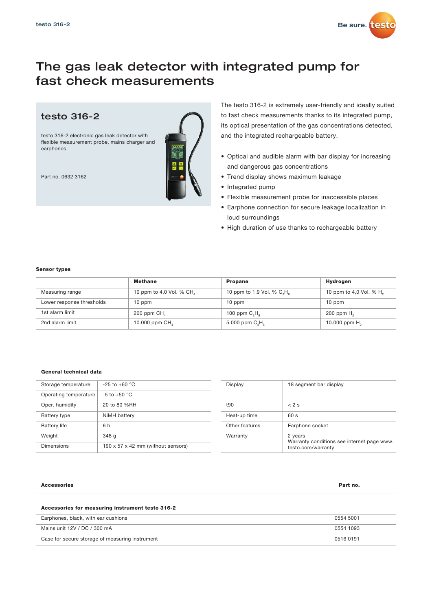

## The gas leak detector with integrated pump for fast check measurements

### testo 316-2

testo 316-2 electronic gas leak detector with flexible measurement probe, mains charger and earphones

Part no. 0632 3162

The testo 316-2 is extremely user-friendly and ideally suited to fast check measurements thanks to its integrated pump, its optical presentation of the gas concentrations detected, and the integrated rechargeable battery.

- Optical and audible alarm with bar display for increasing and dangerous gas concentrations
- Trend display shows maximum leakage
- Integrated pump
- Flexible measurement probe for inaccessible places
- Earphone connection for secure leakage localization in loud surroundings
- High duration of use thanks to rechargeable battery

### Sensor types

|                           | <b>Methane</b>          | <b>Propane</b>                | Hydrogen                            |
|---------------------------|-------------------------|-------------------------------|-------------------------------------|
| Measuring range           | 10 ppm to 4,0 Vol. % CH | 10 ppm to 1,9 Vol. % $C_1H_a$ | 10 ppm to 4,0 Vol. % H <sub>2</sub> |
| Lower response thresholds | 10 ppm                  | 10 ppm                        | 10 ppm                              |
| 1st alarm limit           | 200 ppm CH,             | 100 ppm $CsHs$                | 200 ppm $H2$                        |
| 2nd alarm limit           | 10.000 ppm CH           | 5.000 ppm $C_3H_a$            | 10.000 ppm $H_2$                    |

### General technical data

| Storage temperature   | $-25$ to $+60$ °C                  |
|-----------------------|------------------------------------|
| Operating temperature | $-5$ to $+50$ °C                   |
| Oper. humidity        | 20 to 80 %RH                       |
| Battery type          | NiMH battery                       |
| <b>Battery life</b>   | 6 h                                |
| Weight                | 348 g                              |
| Dimensions            | 190 x 57 x 42 mm (without sensors) |

| Display        | 18 segment bar display                                                      |
|----------------|-----------------------------------------------------------------------------|
| t90            | $< 2$ s                                                                     |
| Heat-up time   | 60s                                                                         |
| Other features | Earphone socket                                                             |
| Warranty       | 2 years<br>Warranty conditions see internet page www.<br>testo.com/warranty |

#### Accessories Part no.

### Accessories for measuring instrument testo 316-2

| Earphones, black, with ear cushions             |           |  |
|-------------------------------------------------|-----------|--|
| Mains unit 12V / DC / 300 mA                    | 0554 1093 |  |
| Case for secure storage of measuring instrument | 0516 0191 |  |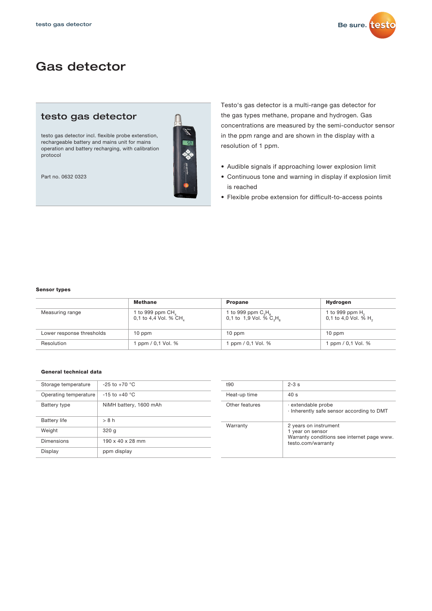

# Gas detector

### testo gas detector

testo gas detector incl. flexible probe extenstion, rechargeable battery and mains unit for mains operation and battery recharging, with calibration protocol

Part no. 0632 0323



Testo's gas detector is a multi-range gas detector for the gas types methane, propane and hydrogen. Gas concentrations are measured by the semi-conductor sensor in the ppm range and are shown in the display with a resolution of 1 ppm.

- Audible signals if approaching lower explosion limit
- Continuous tone and warning in display if explosion limit is reached
- Flexible probe extension for difficult-to-access points

### Sensor types

|                           | <b>Methane</b>                             | <b>Propane</b>                                                    | Hydrogen                                              |
|---------------------------|--------------------------------------------|-------------------------------------------------------------------|-------------------------------------------------------|
| Measuring range           | 1 to 999 ppm $CH4$<br>0,1 to 4,4 Vol. % CH | 1 to 999 ppm $\text{C}_3\text{H}_8$<br>0,1 to 1,9 Vol. % $C_3H_a$ | 1 to 999 ppm $H2$<br>0,1 to 4,0 Vol. % H <sub>2</sub> |
| Lower response thresholds | 10 ppm                                     | 10 ppm                                                            | 10 ppm                                                |
| Resolution                | l ppm / 0,1 Vol. %                         | ppm / 0,1 Vol. %                                                  | 1 ppm / 0,1 Vol. %                                    |

### General technical data

| Storage temperature   | $-25$ to $+70$ °C            | t90            | $2-3s$                                                         |  |
|-----------------------|------------------------------|----------------|----------------------------------------------------------------|--|
| Operating temperature | $-15$ to $+40$ °C            | Heat-up time   | 40 s                                                           |  |
| Battery type          | NiMH battery, 1600 mAh       | Other features | extendable probe<br>· Inherently safe sensor according to DMT  |  |
| <b>Battery life</b>   | > 8 h                        |                |                                                                |  |
|                       |                              | Warranty       | 2 years on instrument                                          |  |
| Weight                | 320q                         |                | 1 year on sensor<br>Warranty conditions see internet page www. |  |
| <b>Dimensions</b>     | $190 \times 40 \times 28$ mm |                | testo.com/warranty                                             |  |
| Display               | ppm display                  |                |                                                                |  |
|                       |                              |                |                                                                |  |